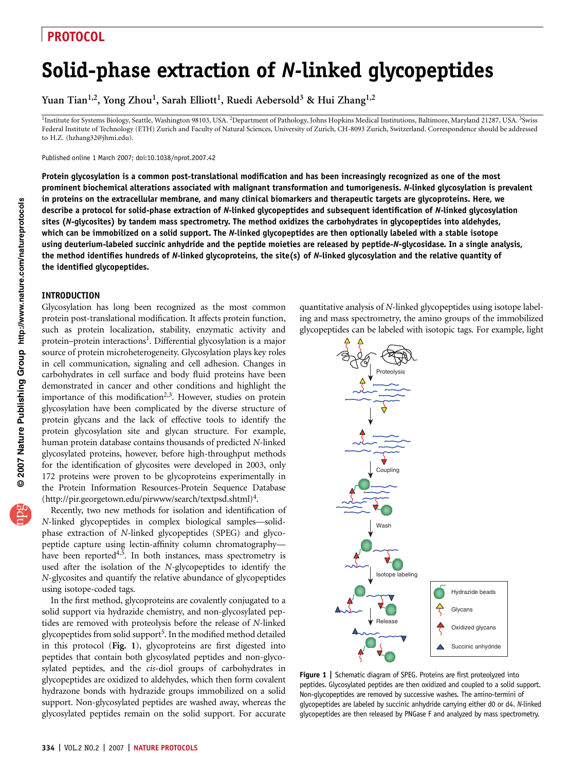# Solid-phase extraction of N-linked glycopeptides

Yuan Tian<sup>1,2</sup>, Yong Zhou<sup>1</sup>, Sarah Elliott<sup>1</sup>, Ruedi Aebersold<sup>3</sup> & Hui Zhang<sup>1,2</sup>

<sup>1</sup>Institute for Systems Biology, Seattle, Washington 98103, USA. <sup>2</sup>Department of Pathology, Johns Hopkins Medical Institutions, Baltimore, Maryland 21287, USA. <sup>3</sup>Swiss Federal Institute of Technology (ETH) Zurich and Faculty of Natural Sciences, University of Zurich, CH-8093 Zurich, Switzerland. Correspondence should be addressed to H.Z. (hzhang32@jhmi.edu).

Published online 1 March 2007; doi:10.1038/nprot.2007.42

Protein glycosylation is a common post-translational modification and has been increasingly recognized as one of the most prominent biochemical alterations associated with malignant transformation and tumorigenesis. N-linked glycosylation is prevalent in proteins on the extracellular membrane, and many clinical biomarkers and therapeutic targets are glycoproteins. Here, we describe a protocol for solid-phase extraction of N-linked glycopeptides and subsequent identification of N-linked glycosylation sites (N-glycosites) by tandem mass spectrometry. The method oxidizes the carbohydrates in glycopeptides into aldehydes, which can be immobilized on a solid support. The N-linked glycopeptides are then optionally labeled with a stable isotope using deuterium-labeled succinic anhydride and the peptide moieties are released by peptide-N-glycosidase. In a single analysis, the method identifies hundreds of N-linked glycoproteins, the site(s) of N-linked glycosylation and the relative quantity of the identified glycopeptides.

#### INTRODUCTION

Glycosylation has long been recognized as the most common protein post-translational modification. It affects protein function, such as protein localization, stability, enzymatic activity and protein–protein interactions<sup>1</sup>. Differential glycosylation is a major source of protein microheterogeneity. Glycosylation plays key roles in cell communication, signaling and cell adhesion. Changes in carbohydrates in cell surface and body fluid proteins have been demonstrated in cancer and other conditions and highlight the importance of this modification<sup>2,3</sup>. However, studies on protein glycosylation have been complicated by the diverse structure of protein glycans and the lack of effective tools to identify the protein glycosylation site and glycan structure. For example, human protein database contains thousands of predicted N-linked glycosylated proteins, however, before high-throughput methods for the identification of glycosites were developed in 2003, only 172 proteins were proven to be glycoproteins experimentally in the Protein Information Resources-Protein Sequence Database (http://pir.georgetown.edu/pirwww/search/textpsd.shtml)4.

Recently, two new methods for isolation and identification of N-linked glycopeptides in complex biological samples––solidphase extraction of N-linked glycopeptides (SPEG) and glycopeptide capture using lectin-affinity column chromatography–– have been reported<sup>4,5</sup>. In both instances, mass spectrometry is used after the isolation of the N-glycopeptides to identify the N-glycosites and quantify the relative abundance of glycopeptides using isotope-coded tags.

In the first method, glycoproteins are covalently conjugated to a solid support via hydrazide chemistry, and non-glycosylated peptides are removed with proteolysis before the release of N-linked glycopeptides from solid support<sup>5</sup>. In the modified method detailed in this protocol (Fig. 1), glycoproteins are first digested into peptides that contain both glycosylated peptides and non-glycosylated peptides, and the cis-diol groups of carbohydrates in glycopeptides are oxidized to aldehydes, which then form covalent hydrazone bonds with hydrazide groups immobilized on a solid support. Non-glycosylated peptides are washed away, whereas the glycosylated peptides remain on the solid support. For accurate quantitative analysis of N-linked glycopeptides using isotope labeling and mass spectrometry, the amino groups of the immobilized glycopeptides can be labeled with isotopic tags. For example, light



Figure 1 | Schematic diagram of SPEG. Proteins are first proteolyzed into peptides. Glycosylated peptides are then oxidized and coupled to a solid support. Non-glycopeptides are removed by successive washes. The amino-termini of glycopeptides are labeled by succinic anhydride carrying either d0 or d4. N-linked glycopeptides are then released by PNGase F and analyzed by mass spectrometry.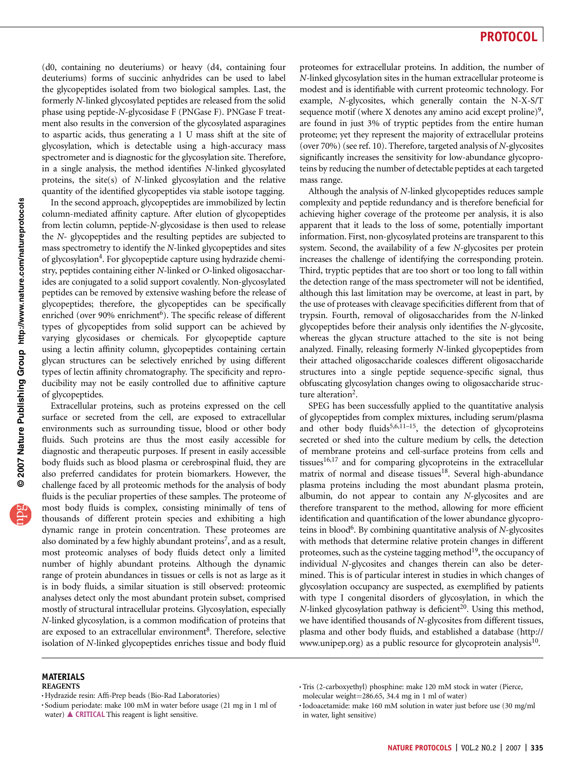(d0, containing no deuteriums) or heavy (d4, containing four deuteriums) forms of succinic anhydrides can be used to label the glycopeptides isolated from two biological samples. Last, the formerly N-linked glycosylated peptides are released from the solid phase using peptide-N-glycosidase F (PNGase F). PNGase F treatment also results in the conversion of the glycosylated asparagines to aspartic acids, thus generating a 1 U mass shift at the site of glycosylation, which is detectable using a high-accuracy mass spectrometer and is diagnostic for the glycosylation site. Therefore, in a single analysis, the method identifies N-linked glycosylated proteins, the site(s) of N-linked glycosylation and the relative quantity of the identified glycopeptides via stable isotope tagging.

In the second approach, glycopeptides are immobilized by lectin column-mediated affinity capture. After elution of glycopeptides from lectin column, peptide-N-glycosidase is then used to release the N- glycopeptides and the resulting peptides are subjected to mass spectrometry to identify the N-linked glycopeptides and sites of glycosylation<sup>4</sup>. For glycopeptide capture using hydrazide chemistry, peptides containing either N-linked or O-linked oligosaccharides are conjugated to a solid support covalently. Non-glycosylated peptides can be removed by extensive washing before the release of glycopeptides; therefore, the glycopeptides can be specifically enriched (over 90% enrichment<sup>6</sup>). The specific release of different types of glycopeptides from solid support can be achieved by varying glycosidases or chemicals. For glycopeptide capture using a lectin affinity column, glycopeptides containing certain glycan structures can be selectively enriched by using different types of lectin affinity chromatography. The specificity and reproducibility may not be easily controlled due to affinitive capture of glycopeptides.

Extracellular proteins, such as proteins expressed on the cell surface or secreted from the cell, are exposed to extracellular environments such as surrounding tissue, blood or other body fluids. Such proteins are thus the most easily accessible for diagnostic and therapeutic purposes. If present in easily accessible body fluids such as blood plasma or cerebrospinal fluid, they are also preferred candidates for protein biomarkers. However, the challenge faced by all proteomic methods for the analysis of body fluids is the peculiar properties of these samples. The proteome of most body fluids is complex, consisting minimally of tens of thousands of different protein species and exhibiting a high dynamic range in protein concentration. These proteomes are also dominated by a few highly abundant proteins<sup>7</sup>, and as a result, most proteomic analyses of body fluids detect only a limited number of highly abundant proteins. Although the dynamic range of protein abundances in tissues or cells is not as large as it is in body fluids, a similar situation is still observed: proteomic analyses detect only the most abundant protein subset, comprised mostly of structural intracellular proteins. Glycosylation, especially N-linked glycosylation, is a common modification of proteins that are exposed to an extracellular environment<sup>8</sup>. Therefore, selective isolation of N-linked glycopeptides enriches tissue and body fluid proteomes for extracellular proteins. In addition, the number of N-linked glycosylation sites in the human extracellular proteome is modest and is identifiable with current proteomic technology. For example, N-glycosites, which generally contain the N-X-S/T sequence motif (where X denotes any amino acid except proline) $9$ , are found in just 3% of tryptic peptides from the entire human proteome; yet they represent the majority of extracellular proteins (over 70%) (see ref. 10). Therefore, targeted analysis of  $N$ -glycosites significantly increases the sensitivity for low-abundance glycoproteins by reducing the number of detectable peptides at each targeted mass range.

Although the analysis of N-linked glycopeptides reduces sample complexity and peptide redundancy and is therefore beneficial for achieving higher coverage of the proteome per analysis, it is also apparent that it leads to the loss of some, potentially important information. First, non-glycosylated proteins are transparent to this system. Second, the availability of a few N-glycosites per protein increases the challenge of identifying the corresponding protein. Third, tryptic peptides that are too short or too long to fall within the detection range of the mass spectrometer will not be identified, although this last limitation may be overcome, at least in part, by the use of proteases with cleavage specificities different from that of trypsin. Fourth, removal of oligosaccharides from the N-linked glycopeptides before their analysis only identifies the N-glycosite, whereas the glycan structure attached to the site is not being analyzed. Finally, releasing formerly N-linked glycopeptides from their attached oligosaccharide coalesces different oligosaccharide structures into a single peptide sequence-specific signal, thus obfuscating glycosylation changes owing to oligosaccharide structure alteration<sup>2</sup>.

SPEG has been successfully applied to the quantitative analysis of glycopeptides from complex mixtures, including serum/plasma and other body fluids<sup>5,6,11-15</sup>, the detection of glycoproteins secreted or shed into the culture medium by cells, the detection of membrane proteins and cell-surface proteins from cells and tissues<sup>16,17</sup> and for comparing glycoproteins in the extracellular matrix of normal and disease tissues<sup>18</sup>. Several high-abundance plasma proteins including the most abundant plasma protein, albumin, do not appear to contain any N-glycosites and are therefore transparent to the method, allowing for more efficient identification and quantification of the lower abundance glycoproteins in blood<sup>6</sup>. By combining quantitative analysis of  $N$ -glycosites with methods that determine relative protein changes in different proteomes, such as the cysteine tagging method<sup>19</sup>, the occupancy of individual N-glycosites and changes therein can also be determined. This is of particular interest in studies in which changes of glycosylation occupancy are suspected, as exemplified by patients with type I congenital disorders of glycosylation, in which the N-linked glycosylation pathway is deficient<sup>20</sup>. Using this method, we have identified thousands of  $N$ -glycosites from different tissues, plasma and other body fluids, and established a database (http:// www.unipep.org) as a public resource for glycoprotein analysis<sup>10</sup>.

#### MATERIALS **REAGENTS**

.Hydrazide resin: Affi-Prep beads (Bio-Rad Laboratories)

<sup>.</sup>Sodium periodate: make 100 mM in water before usage (21 mg in 1 ml of water)  $\triangle$  CRITICAL This reagent is light sensitive.

<sup>.</sup>Tris (2-carboxyethyl) phosphine: make 120 mM stock in water (Pierce, molecular weight=286.65, 34.4 mg in 1 ml of water)<br>
• Iodoacetamide: make 160 mM solution in water just before use (30 mg/ml

in water, light sensitive)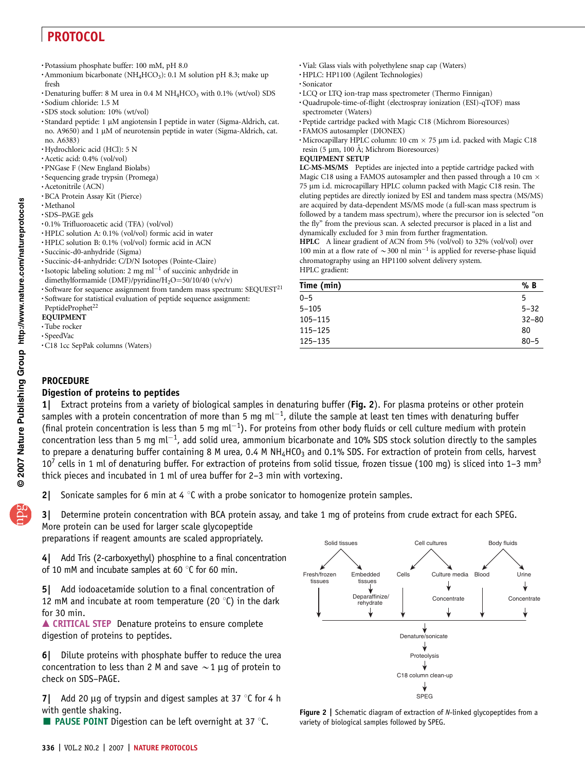- .Potassium phosphate buffer: 100 mM, pH 8.0
- · Ammonium bicarbonate (NH<sub>4</sub>HCO<sub>3</sub>): 0.1 M solution pH 8.3; make up fresh
- $\cdot$  Denaturing buffer: 8 M urea in 0.4 M NH<sub>4</sub>HCO<sub>3</sub> with 0.1% (wt/vol) SDS  $\cdot$  Sodium chloride: 1.5 M
- 
- .SDS stock solution: 10% (wt/vol)
- · Standard peptide: 1 µM angiotensin I peptide in water (Sigma-Aldrich, cat. no. A9650) and  $1 \mu M$  of neurotensin peptide in water (Sigma-Aldrich, cat. no. A6383)
- .Hydrochloric acid (HCl): 5 N
- .Acetic acid: 0.4% (vol/vol)
- .PNGase F (New England Biolabs)
- .Sequencing grade trypsin (Promega)
- .Acetonitrile (ACN)
- .BCA Protein Assay Kit (Pierce)
- .Methanol
- .SDS–PAGE gels
- .0.1% Trifluoroacetic acid (TFA) (vol/vol)
- .HPLC solution A: 0.1% (vol/vol) formic acid in water
- .HPLC solution B: 0.1% (vol/vol) formic acid in ACN
- .Succinic-d0-anhydride (Sigma)
- .Succinic-d4-anhydride: C/D/N Isotopes (Pointe-Claire)
- $\boldsymbol{\cdot}$ Isotopic labeling solution: 2 mg ml $^{-1}$  of succinic anhydride in
- dimethylformamide (DMF)/pyridine/H<sub>2</sub>O=50/10/40 (v/v/v) . Software for sequence assignment from tandem mass spectrum: SEQUEST<sup>21</sup>
- 
- .Software for statistical evaluation of peptide sequence assignment:
- PeptideProphet<sup>22</sup> EQUIPMENT
- .Tube rocker
- 
- .SpeedVac

.C18 1cc SepPak columns (Waters)

- .Vial: Glass vials with polyethylene snap cap (Waters)
- .HPLC: HP1100 (Agilent Technologies)
- .Sonicator
- .LCQ or LTQ ion-trap mass spectrometer (Thermo Finnigan)
- .Quadrupole-time-of-flight (electrospray ionization (ESI)-qTOF) mass spectrometer (Waters)
- .Peptide cartridge packed with Magic C18 (Michrom Bioresources) .FAMOS autosampler (DIONEX)
- Microcapillary HPLC column: 10 cm × 75 µm i.d. packed with Magic C18 resin (5  $\mu$ m, 100 Å; Michrom Bioresources)

#### EQUIPMENT SETUP

LC-MS-MS/MS Peptides are injected into a peptide cartridge packed with Magic C18 using a FAMOS autosampler and then passed through a 10 cm  $\times$ 75 µm i.d. microcapillary HPLC column packed with Magic C18 resin. The eluting peptides are directly ionized by ESI and tandem mass spectra (MS/MS) are acquired by data-dependent MS/MS mode (a full-scan mass spectrum is followed by a tandem mass spectrum), where the precursor ion is selected ''on the fly'' from the previous scan. A selected precursor is placed in a list and dynamically excluded for 3 min from further fragmentation.

HPLC A linear gradient of ACN from 5% (vol/vol) to 32% (vol/vol) over 100 min at a flow rate of  $\sim$  300 nl min<sup>-1</sup> is applied for reverse-phase liquid chromatography using an HP1100 solvent delivery system. HPLC gradient:

| Time (min)  | % B       |
|-------------|-----------|
| $0 - 5$     | 5         |
| $5 - 105$   | $5 - 32$  |
| 105-115     | $32 - 80$ |
| $115 - 125$ | 80        |
| 125-135     | $80 - 5$  |

#### **PROCEDURE**

#### Digestion of proteins to peptides

1| Extract proteins from a variety of biological samples in denaturing buffer (Fig. 2). For plasma proteins or other protein samples with a protein concentration of more than 5 mg ml<sup>-1</sup>, dilute the sample at least ten times with denaturing buffer (final protein concentration is less than 5 mg m $L^{-1}$ ). For proteins from other body fluids or cell culture medium with protein concentration less than 5 mg ml<sup>-1</sup>, add solid urea, ammonium bicarbonate and 10% SDS stock solution directly to the samples to prepare a denaturing buffer containing 8 M urea,  $0.4$  M NH<sub>4</sub>HCO<sub>3</sub> and 0.1% SDS. For extraction of protein from cells, harvest 10<sup>7</sup> cells in 1 ml of denaturing buffer. For extraction of proteins from solid tissue, frozen tissue (100 mg) is sliced into 1–3 mm<sup>3</sup> thick pieces and incubated in 1 ml of urea buffer for 2–3 min with vortexing.

**2** Sonicate samples for 6 min at 4  $\degree$ C with a probe sonicator to homogenize protein samples.

3| Determine protein concentration with BCA protein assay, and take 1 mg of proteins from crude extract for each SPEG. More protein can be used for larger scale glycopeptide

preparations if reagent amounts are scaled appropriately.

4| Add Tris (2-carboxyethyl) phosphine to a final concentration of 10 mM and incubate samples at 60  $\degree$ C for 60 min.

5| Add iodoacetamide solution to a final concentration of 12 mM and incubate at room temperature (20 $\degree$ C) in the dark for 30 min.

 $\triangle$  CRITICAL STEP Denature proteins to ensure complete digestion of proteins to peptides.

6| Dilute proteins with phosphate buffer to reduce the urea concentration to less than 2 M and save  $\sim$  1 µg of protein to check on SDS–PAGE.

**7** Add 20  $\mu$ g of trypsin and digest samples at 37  $\degree$ C for 4 h with gentle shaking.

**E** PAUSE POINT Digestion can be left overnight at 37  $\degree$ C.



Figure 2 | Schematic diagram of extraction of N-linked glycopeptides from a variety of biological samples followed by SPEG.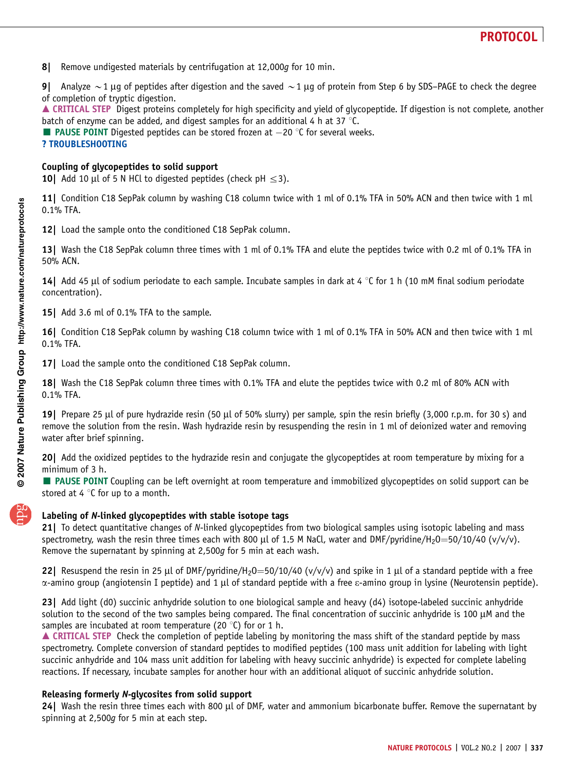8| Remove undigested materials by centrifugation at 12,000g for 10 min.

9| Analyze  $\sim$  1 µg of peptides after digestion and the saved  $\sim$  1 µg of protein from Step 6 by SDS–PAGE to check the degree of completion of tryptic digestion.

▲ CRITICAL STEP Digest proteins completely for high specificity and yield of glycopeptide. If digestion is not complete, another batch of enzyme can be added, and digest samples for an additional 4 h at 37  $\degree$ C.

**PAUSE POINT** Digested peptides can be stored frozen at  $-20$  °C for several weeks.

? TROUBLESHOOTING

## Coupling of glycopeptides to solid support

10| Add 10  $\mu$ l of 5 N HCl to digested peptides (check pH  $\leq$ 3).

11| Condition C18 SepPak column by washing C18 column twice with 1 ml of 0.1% TFA in 50% ACN and then twice with 1 ml 0.1% TFA.

12| Load the sample onto the conditioned C18 SepPak column.

13| Wash the C18 SepPak column three times with 1 ml of 0.1% TFA and elute the peptides twice with 0.2 ml of 0.1% TFA in 50% ACN.

**14** Add 45 µl of sodium periodate to each sample. Incubate samples in dark at 4  $\degree$ C for 1 h (10 mM final sodium periodate concentration).

15| Add 3.6 ml of 0.1% TFA to the sample.

16| Condition C18 SepPak column by washing C18 column twice with 1 ml of 0.1% TFA in 50% ACN and then twice with 1 ml 0.1% TFA.

17| Load the sample onto the conditioned C18 SepPak column.

18| Wash the C18 SepPak column three times with 0.1% TFA and elute the peptides twice with 0.2 ml of 80% ACN with 0.1% TFA.

19| Prepare 25 µl of pure hydrazide resin (50 µl of 50% slurry) per sample, spin the resin briefly (3,000 r.p.m. for 30 s) and remove the solution from the resin. Wash hydrazide resin by resuspending the resin in 1 ml of deionized water and removing water after brief spinning.

20| Add the oxidized peptides to the hydrazide resin and conjugate the glycopeptides at room temperature by mixing for a minimum of 3 h.

**PAUSE POINT** Coupling can be left overnight at room temperature and immobilized glycopeptides on solid support can be stored at 4  $\degree$ C for up to a month.

#### Labeling of N-linked glycopeptides with stable isotope tags

21 To detect quantitative changes of N-linked glycopeptides from two biological samples using isotopic labeling and mass spectrometry, wash the resin three times each with 800  $\mu$ l of 1.5 M NaCl, water and DMF/pyridine/H<sub>2</sub>O=50/10/40 (v/v/v). Remove the supernatant by spinning at 2,500g for 5 min at each wash.

22| Resuspend the resin in 25 µl of DMF/pyridine/H<sub>2</sub>O=50/10/40 (v/v/v) and spike in 1 µl of a standard peptide with a free  $\alpha$ -amino group (angiotensin I peptide) and 1 µl of standard peptide with a free  $\varepsilon$ -amino group in lysine (Neurotensin peptide).

23| Add light (d0) succinic anhydride solution to one biological sample and heavy (d4) isotope-labeled succinic anhydride solution to the second of the two samples being compared. The final concentration of succinic anhydride is 100  $\mu$ M and the samples are incubated at room temperature (20 $\degree$ C) for or 1 h.

▲ CRITICAL STEP Check the completion of peptide labeling by monitoring the mass shift of the standard peptide by mass spectrometry. Complete conversion of standard peptides to modified peptides (100 mass unit addition for labeling with light succinic anhydride and 104 mass unit addition for labeling with heavy succinic anhydride) is expected for complete labeling reactions. If necessary, incubate samples for another hour with an additional aliquot of succinic anhydride solution.

#### Releasing formerly N-glycosites from solid support

24| Wash the resin three times each with 800 µl of DMF, water and ammonium bicarbonate buffer. Remove the supernatant by spinning at  $2,500q$  for 5 min at each step.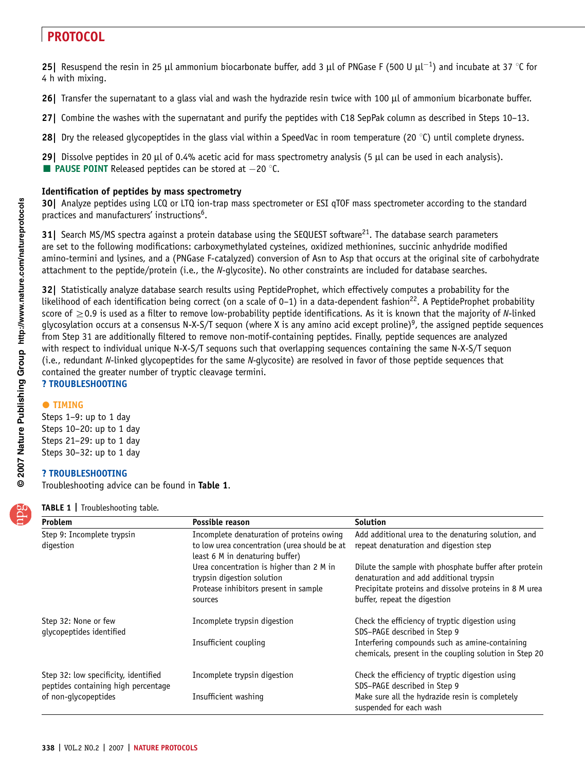**25** Resuspend the resin in 25 µl ammonium biocarbonate buffer, add 3 µl of PNGase F (500 U µl<sup>-1</sup>) and incubate at 37 °C for 4 h with mixing.

26 Transfer the supernatant to a glass vial and wash the hydrazide resin twice with 100  $\mu$ l of ammonium bicarbonate buffer.

- 27| Combine the washes with the supernatant and purify the peptides with C18 SepPak column as described in Steps 10–13.
- **28** Dry the released glycopeptides in the glass vial within a SpeedVac in room temperature (20 °C) until complete dryness.

29 | Dissolve peptides in 20  $\mu$ l of 0.4% acetic acid for mass spectrometry analysis (5  $\mu$ l can be used in each analysis). **E** PAUSE POINT Released peptides can be stored at  $-20$  °C.

## Identification of peptides by mass spectrometry

30| Analyze peptides using LCQ or LTQ ion-trap mass spectrometer or ESI qTOF mass spectrometer according to the standard practices and manufacturers' instructions<sup>6</sup>.

31| Search MS/MS spectra against a protein database using the SEQUEST software<sup>21</sup>. The database search parameters are set to the following modifications: carboxymethylated cysteines, oxidized methionines, succinic anhydride modified amino-termini and lysines, and a (PNGase F-catalyzed) conversion of Asn to Asp that occurs at the original site of carbohydrate attachment to the peptide/protein (i.e., the N-glycosite). No other constraints are included for database searches.

32| Statistically analyze database search results using PeptideProphet, which effectively computes a probability for the likelihood of each identification being correct (on a scale of 0–1) in a data-dependent fashion<sup>22</sup>. A PeptideProphet probability score of  $\geq$  0.9 is used as a filter to remove low-probability peptide identifications. As it is known that the majority of N-linked glycosylation occurs at a consensus N-X-S/T sequon (where X is any amino acid except proline)<sup>9</sup>, the assigned peptide sequences from Step 31 are additionally filtered to remove non-motif-containing peptides. Finally, peptide sequences are analyzed with respect to individual unique N-X-S/T sequons such that overlapping sequences containing the same N-X-S/T sequon (i.e., redundant N-linked glycopeptides for the same N-glycosite) are resolved in favor of those peptide sequences that contained the greater number of tryptic cleavage termini.

#### ? TROUBLESHOOTING

#### **• TIMING**

Steps 1–9: up to 1 day Steps 10–20: up to 1 day Steps 21–29: up to 1 day Steps 30–32: up to 1 day

#### ? TROUBLESHOOTING

Troubleshooting advice can be found in Table 1.

| TABLE 1   Troubleshooting table. |  |
|----------------------------------|--|
|----------------------------------|--|

| Problem                                                                     | Possible reason                                                                                                              | <b>Solution</b>                                                                                                                                            |
|-----------------------------------------------------------------------------|------------------------------------------------------------------------------------------------------------------------------|------------------------------------------------------------------------------------------------------------------------------------------------------------|
| Step 9: Incomplete trypsin<br>digestion                                     | Incomplete denaturation of proteins owing<br>to low urea concentration (urea should be at<br>least 6 M in denaturing buffer) | Add additional urea to the denaturing solution, and<br>repeat denaturation and digestion step                                                              |
|                                                                             | Urea concentration is higher than 2 M in<br>trypsin digestion solution<br>Protease inhibitors present in sample              | Dilute the sample with phosphate buffer after protein<br>denaturation and add additional trypsin<br>Precipitate proteins and dissolve proteins in 8 M urea |
|                                                                             | sources                                                                                                                      | buffer, repeat the digestion                                                                                                                               |
| Step 32: None or few<br>glycopeptides identified                            | Incomplete trypsin digestion                                                                                                 | Check the efficiency of tryptic digestion using<br>SDS-PAGE described in Step 9                                                                            |
|                                                                             | Insufficient coupling                                                                                                        | Interfering compounds such as amine-containing<br>chemicals, present in the coupling solution in Step 20                                                   |
| Step 32: low specificity, identified<br>peptides containing high percentage | Incomplete trypsin digestion                                                                                                 | Check the efficiency of tryptic digestion using<br>SDS-PAGE described in Step 9                                                                            |
| of non-glycopeptides                                                        | Insufficient washing                                                                                                         | Make sure all the hydrazide resin is completely<br>suspended for each wash                                                                                 |